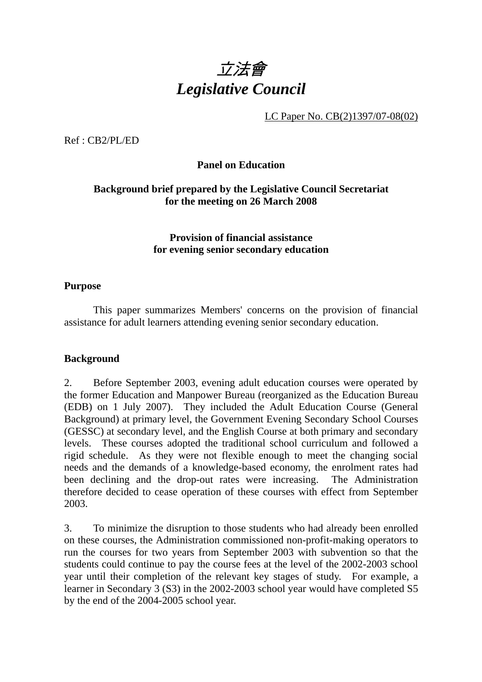

LC Paper No. CB(2)1397/07-08(02)

Ref : CB2/PL/ED

## **Panel on Education**

## **Background brief prepared by the Legislative Council Secretariat for the meeting on 26 March 2008**

#### **Provision of financial assistance for evening senior secondary education**

#### **Purpose**

 This paper summarizes Members' concerns on the provision of financial assistance for adult learners attending evening senior secondary education.

## **Background**

2. Before September 2003, evening adult education courses were operated by the former Education and Manpower Bureau (reorganized as the Education Bureau (EDB) on 1 July 2007). They included the Adult Education Course (General Background) at primary level, the Government Evening Secondary School Courses (GESSC) at secondary level, and the English Course at both primary and secondary levels. These courses adopted the traditional school curriculum and followed a rigid schedule. As they were not flexible enough to meet the changing social needs and the demands of a knowledge-based economy, the enrolment rates had been declining and the drop-out rates were increasing. The Administration therefore decided to cease operation of these courses with effect from September 2003.

3. To minimize the disruption to those students who had already been enrolled on these courses, the Administration commissioned non-profit-making operators to run the courses for two years from September 2003 with subvention so that the students could continue to pay the course fees at the level of the 2002-2003 school year until their completion of the relevant key stages of study. For example, a learner in Secondary 3 (S3) in the 2002-2003 school year would have completed S5 by the end of the 2004-2005 school year.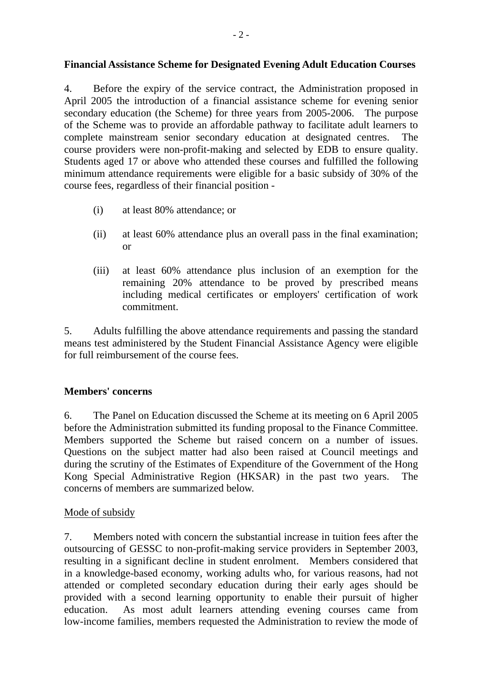## **Financial Assistance Scheme for Designated Evening Adult Education Courses**

4. Before the expiry of the service contract, the Administration proposed in April 2005 the introduction of a financial assistance scheme for evening senior secondary education (the Scheme) for three years from 2005-2006. The purpose of the Scheme was to provide an affordable pathway to facilitate adult learners to complete mainstream senior secondary education at designated centres. The course providers were non-profit-making and selected by EDB to ensure quality. Students aged 17 or above who attended these courses and fulfilled the following minimum attendance requirements were eligible for a basic subsidy of 30% of the course fees, regardless of their financial position -

- (i) at least 80% attendance; or
- (ii) at least 60% attendance plus an overall pass in the final examination; or
- (iii) at least 60% attendance plus inclusion of an exemption for the remaining 20% attendance to be proved by prescribed means including medical certificates or employers' certification of work commitment.

5. Adults fulfilling the above attendance requirements and passing the standard means test administered by the Student Financial Assistance Agency were eligible for full reimbursement of the course fees.

## **Members' concerns**

6. The Panel on Education discussed the Scheme at its meeting on 6 April 2005 before the Administration submitted its funding proposal to the Finance Committee. Members supported the Scheme but raised concern on a number of issues. Questions on the subject matter had also been raised at Council meetings and during the scrutiny of the Estimates of Expenditure of the Government of the Hong Kong Special Administrative Region (HKSAR) in the past two years. The concerns of members are summarized below.

## Mode of subsidy

7. Members noted with concern the substantial increase in tuition fees after the outsourcing of GESSC to non-profit-making service providers in September 2003, resulting in a significant decline in student enrolment. Members considered that in a knowledge-based economy, working adults who, for various reasons, had not attended or completed secondary education during their early ages should be provided with a second learning opportunity to enable their pursuit of higher education. As most adult learners attending evening courses came from low-income families, members requested the Administration to review the mode of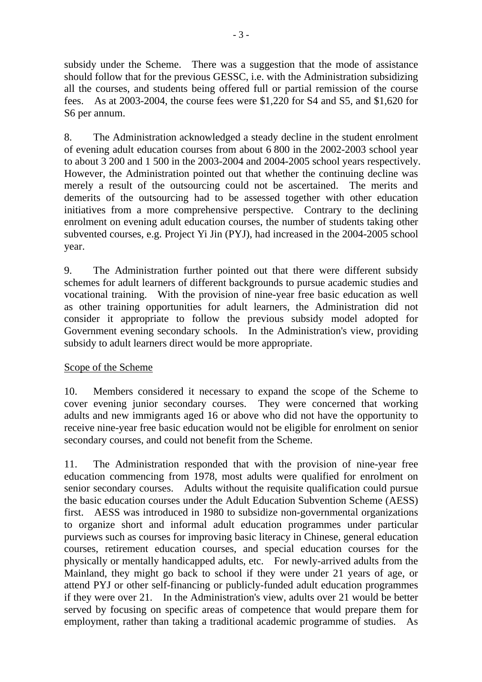subsidy under the Scheme. There was a suggestion that the mode of assistance should follow that for the previous GESSC, i.e. with the Administration subsidizing all the courses, and students being offered full or partial remission of the course fees. As at 2003-2004, the course fees were \$1,220 for S4 and S5, and \$1,620 for S6 per annum.

8. The Administration acknowledged a steady decline in the student enrolment of evening adult education courses from about 6 800 in the 2002-2003 school year to about 3 200 and 1 500 in the 2003-2004 and 2004-2005 school years respectively. However, the Administration pointed out that whether the continuing decline was merely a result of the outsourcing could not be ascertained. The merits and demerits of the outsourcing had to be assessed together with other education initiatives from a more comprehensive perspective. Contrary to the declining enrolment on evening adult education courses, the number of students taking other subvented courses, e.g. Project Yi Jin (PYJ), had increased in the 2004-2005 school year.

9. The Administration further pointed out that there were different subsidy schemes for adult learners of different backgrounds to pursue academic studies and vocational training. With the provision of nine-year free basic education as well as other training opportunities for adult learners, the Administration did not consider it appropriate to follow the previous subsidy model adopted for Government evening secondary schools. In the Administration's view, providing subsidy to adult learners direct would be more appropriate.

# Scope of the Scheme

10. Members considered it necessary to expand the scope of the Scheme to cover evening junior secondary courses. They were concerned that working adults and new immigrants aged 16 or above who did not have the opportunity to receive nine-year free basic education would not be eligible for enrolment on senior secondary courses, and could not benefit from the Scheme.

11. The Administration responded that with the provision of nine-year free education commencing from 1978, most adults were qualified for enrolment on senior secondary courses. Adults without the requisite qualification could pursue the basic education courses under the Adult Education Subvention Scheme (AESS) first. AESS was introduced in 1980 to subsidize non-governmental organizations to organize short and informal adult education programmes under particular purviews such as courses for improving basic literacy in Chinese, general education courses, retirement education courses, and special education courses for the physically or mentally handicapped adults, etc. For newly-arrived adults from the Mainland, they might go back to school if they were under 21 years of age, or attend PYJ or other self-financing or publicly-funded adult education programmes if they were over 21. In the Administration's view, adults over 21 would be better served by focusing on specific areas of competence that would prepare them for employment, rather than taking a traditional academic programme of studies. As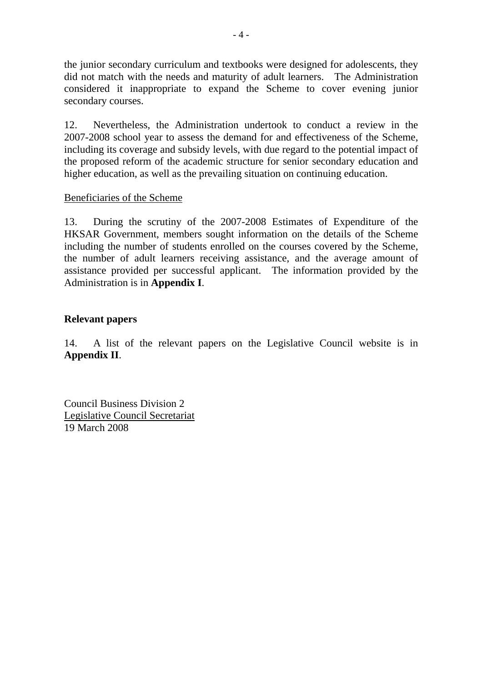the junior secondary curriculum and textbooks were designed for adolescents, they did not match with the needs and maturity of adult learners. The Administration considered it inappropriate to expand the Scheme to cover evening junior secondary courses.

12. Nevertheless, the Administration undertook to conduct a review in the 2007-2008 school year to assess the demand for and effectiveness of the Scheme, including its coverage and subsidy levels, with due regard to the potential impact of the proposed reform of the academic structure for senior secondary education and higher education, as well as the prevailing situation on continuing education.

#### Beneficiaries of the Scheme

13. During the scrutiny of the 2007-2008 Estimates of Expenditure of the HKSAR Government, members sought information on the details of the Scheme including the number of students enrolled on the courses covered by the Scheme, the number of adult learners receiving assistance, and the average amount of assistance provided per successful applicant. The information provided by the Administration is in **Appendix I**.

## **Relevant papers**

14. A list of the relevant papers on the Legislative Council website is in **Appendix II**.

Council Business Division 2 Legislative Council Secretariat 19 March 2008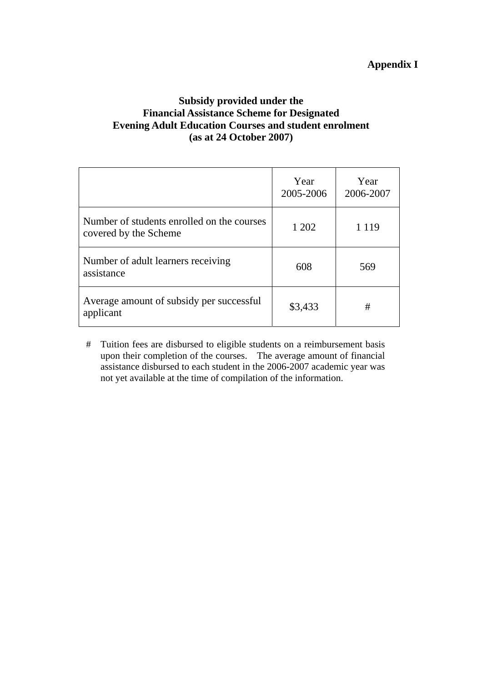# **Subsidy provided under the Financial Assistance Scheme for Designated Evening Adult Education Courses and student enrolment (as at 24 October 2007)**

|                                                                     | Year<br>2005-2006 | Year<br>2006-2007 |
|---------------------------------------------------------------------|-------------------|-------------------|
| Number of students enrolled on the courses<br>covered by the Scheme | 1 202             | 1 1 1 9           |
| Number of adult learners receiving<br>assistance                    | 608               | 569               |
| Average amount of subsidy per successful<br>applicant               | \$3,433           | #                 |

# Tuition fees are disbursed to eligible students on a reimbursement basis upon their completion of the courses. The average amount of financial assistance disbursed to each student in the 2006-2007 academic year was not yet available at the time of compilation of the information.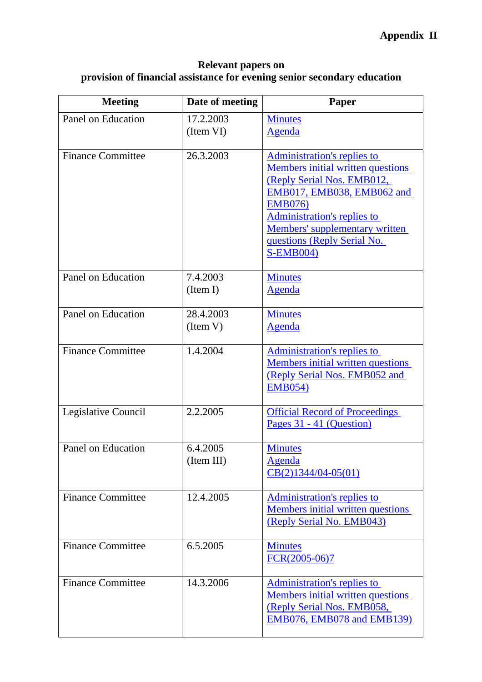# **Appendix II**

#### **Relevant papers on provision of financial assistance for evening senior secondary education**

| <b>Meeting</b>           | Date of meeting        | Paper                                                                                                                                                                                                                                                                            |
|--------------------------|------------------------|----------------------------------------------------------------------------------------------------------------------------------------------------------------------------------------------------------------------------------------------------------------------------------|
| Panel on Education       | 17.2.2003<br>(Item VI) | <b>Minutes</b><br>Agenda                                                                                                                                                                                                                                                         |
| <b>Finance Committee</b> | 26.3.2003              | <b>Administration's replies to</b><br>Members initial written questions<br>(Reply Serial Nos. EMB012,<br>EMB017, EMB038, EMB062 and<br><b>EMB076)</b><br><b>Administration's replies to</b><br>Members' supplementary written<br>questions (Reply Serial No.<br><b>S-EMB004)</b> |
| Panel on Education       | 7.4.2003<br>(Item I)   | <b>Minutes</b><br>Agenda                                                                                                                                                                                                                                                         |
| Panel on Education       | 28.4.2003<br>(Item V)  | <b>Minutes</b><br><b>Agenda</b>                                                                                                                                                                                                                                                  |
| <b>Finance Committee</b> | 1.4.2004               | <b>Administration's replies to</b><br><b>Members initial written questions</b><br>(Reply Serial Nos. EMB052 and<br><b>EMB054)</b>                                                                                                                                                |
| Legislative Council      | 2.2.2005               | <b>Official Record of Proceedings</b><br>Pages 31 - 41 (Question)                                                                                                                                                                                                                |
| Panel on Education       | 6.4.2005<br>(Item III) | <b>Minutes</b><br>Agenda<br>$CB(2)1344/04-05(01)$                                                                                                                                                                                                                                |
| <b>Finance Committee</b> | 12.4.2005              | <b>Administration's replies to</b><br>Members initial written questions<br>(Reply Serial No. EMB043)                                                                                                                                                                             |
| <b>Finance Committee</b> | 6.5.2005               | <b>Minutes</b><br>$FCR(2005-06)7$                                                                                                                                                                                                                                                |
| <b>Finance Committee</b> | 14.3.2006              | <b>Administration's replies to</b><br>Members initial written questions<br>(Reply Serial Nos. EMB058,<br>EMB076, EMB078 and EMB139)                                                                                                                                              |